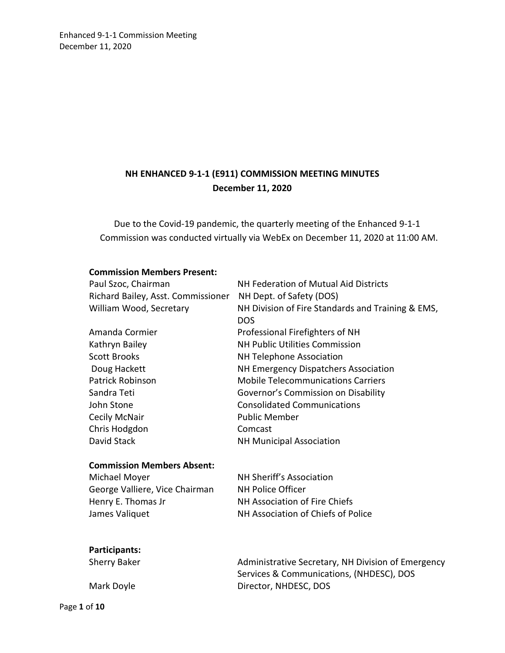# **NH ENHANCED 9-1-1 (E911) COMMISSION MEETING MINUTES December 11, 2020**

Due to the Covid-19 pandemic, the quarterly meeting of the Enhanced 9-1-1 Commission was conducted virtually via WebEx on December 11, 2020 at 11:00 AM.

### **Commission Members Present:**

| Paul Szoc, Chairman                | NH Federation of Mutual Aid Districts             |
|------------------------------------|---------------------------------------------------|
| Richard Bailey, Asst. Commissioner | NH Dept. of Safety (DOS)                          |
| William Wood, Secretary            | NH Division of Fire Standards and Training & EMS, |
|                                    | DOS.                                              |
| Amanda Cormier                     | Professional Firefighters of NH                   |
| Kathryn Bailey                     | <b>NH Public Utilities Commission</b>             |
| <b>Scott Brooks</b>                | <b>NH Telephone Association</b>                   |
| Doug Hackett                       | NH Emergency Dispatchers Association              |
| Patrick Robinson                   | <b>Mobile Telecommunications Carriers</b>         |
| Sandra Teti                        | Governor's Commission on Disability               |
| John Stone                         | <b>Consolidated Communications</b>                |
| Cecily McNair                      | <b>Public Member</b>                              |
| Chris Hodgdon                      | Comcast                                           |
| David Stack                        | <b>NH Municipal Association</b>                   |
|                                    |                                                   |
| <b>Commission Members Absent:</b>  |                                                   |

| Michael Moyer                  | NH Sheriff's Association           |
|--------------------------------|------------------------------------|
| George Valliere, Vice Chairman | NH Police Officer                  |
| Henry E. Thomas Jr             | NH Association of Fire Chiefs      |
| James Valiquet                 | NH Association of Chiefs of Police |

## **Participants:**

| Sherry Baker | Administrative Secretary, NH Division of Emergency |
|--------------|----------------------------------------------------|
|              | Services & Communications, (NHDESC), DOS           |
| Mark Doyle   | Director, NHDESC, DOS                              |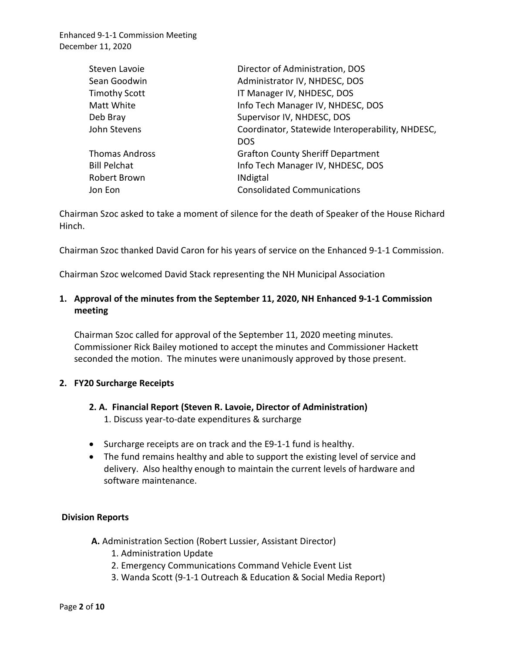| Steven Lavoie         | Director of Administration, DOS                  |
|-----------------------|--------------------------------------------------|
| Sean Goodwin          | Administrator IV, NHDESC, DOS                    |
| <b>Timothy Scott</b>  | IT Manager IV, NHDESC, DOS                       |
| Matt White            | Info Tech Manager IV, NHDESC, DOS                |
| Deb Bray              | Supervisor IV, NHDESC, DOS                       |
| John Stevens          | Coordinator, Statewide Interoperability, NHDESC, |
|                       | <b>DOS</b>                                       |
| <b>Thomas Andross</b> | <b>Grafton County Sheriff Department</b>         |
| <b>Bill Pelchat</b>   | Info Tech Manager IV, NHDESC, DOS                |
| Robert Brown          | <b>INdigtal</b>                                  |
| Jon Eon               | <b>Consolidated Communications</b>               |

Chairman Szoc asked to take a moment of silence for the death of Speaker of the House Richard Hinch.

Chairman Szoc thanked David Caron for his years of service on the Enhanced 9-1-1 Commission.

Chairman Szoc welcomed David Stack representing the NH Municipal Association

# **1. Approval of the minutes from the September 11, 2020, NH Enhanced 9-1-1 Commission meeting**

Chairman Szoc called for approval of the September 11, 2020 meeting minutes. Commissioner Rick Bailey motioned to accept the minutes and Commissioner Hackett seconded the motion. The minutes were unanimously approved by those present.

## **2. FY20 Surcharge Receipts**

## **2. A. Financial Report (Steven R. Lavoie, Director of Administration)** 1. Discuss year-to-date expenditures & surcharge

- Surcharge receipts are on track and the E9-1-1 fund is healthy.
- The fund remains healthy and able to support the existing level of service and delivery. Also healthy enough to maintain the current levels of hardware and software maintenance.

### **Division Reports**

**A.** Administration Section (Robert Lussier, Assistant Director)

- 1. Administration Update
- 2. Emergency Communications Command Vehicle Event List
- 3. Wanda Scott (9-1-1 Outreach & Education & Social Media Report)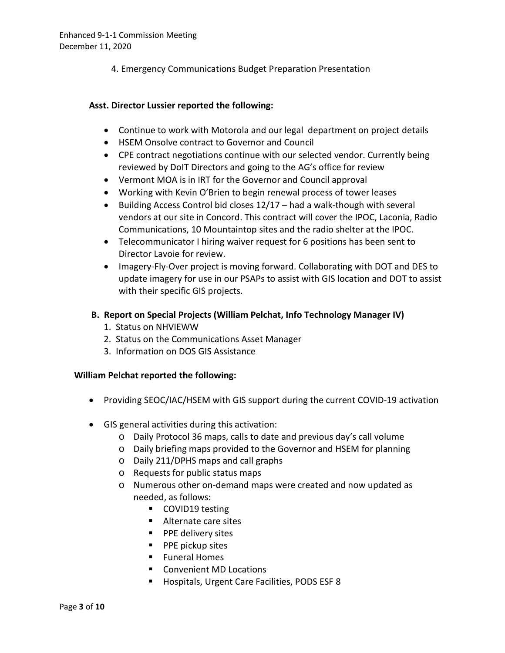4. Emergency Communications Budget Preparation Presentation

## **Asst. Director Lussier reported the following:**

- Continue to work with Motorola and our legal department on project details
- HSEM Onsolve contract to Governor and Council
- CPE contract negotiations continue with our selected vendor. Currently being reviewed by DoIT Directors and going to the AG's office for review
- Vermont MOA is in IRT for the Governor and Council approval
- Working with Kevin O'Brien to begin renewal process of tower leases
- Building Access Control bid closes 12/17 had a walk-though with several vendors at our site in Concord. This contract will cover the IPOC, Laconia, Radio Communications, 10 Mountaintop sites and the radio shelter at the IPOC.
- Telecommunicator I hiring waiver request for 6 positions has been sent to Director Lavoie for review.
- Imagery-Fly-Over project is moving forward. Collaborating with DOT and DES to update imagery for use in our PSAPs to assist with GIS location and DOT to assist with their specific GIS projects.

## **B. Report on Special Projects (William Pelchat, Info Technology Manager IV)**

- 1. Status on NHVIEWW
- 2. Status on the Communications Asset Manager
- 3. Information on DOS GIS Assistance

## **William Pelchat reported the following:**

- Providing SEOC/IAC/HSEM with GIS support during the current COVID-19 activation
- GIS general activities during this activation:
	- o Daily Protocol 36 maps, calls to date and previous day's call volume
	- o Daily briefing maps provided to the Governor and HSEM for planning
	- o Daily 211/DPHS maps and call graphs
	- o Requests for public status maps
	- o Numerous other on-demand maps were created and now updated as needed, as follows:
		- **COVID19 testing**
		- **Alternate care sites**
		- **PPE delivery sites**
		- **PPE pickup sites**
		- **Funeral Homes**
		- Convenient MD Locations
		- **Hospitals, Urgent Care Facilities, PODS ESF 8**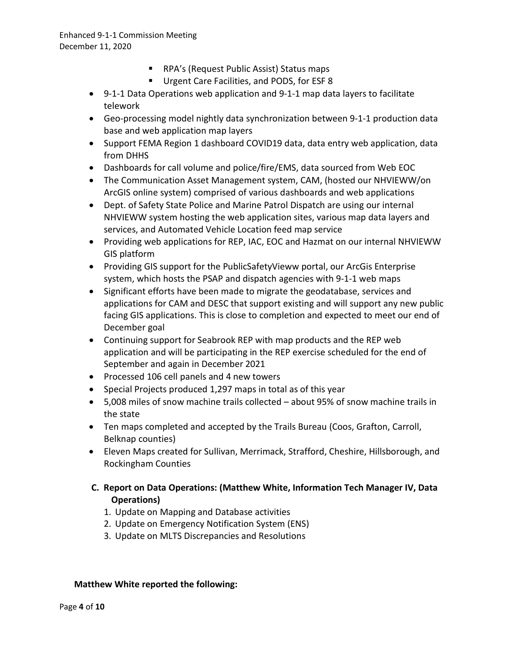- RPA's (Request Public Assist) Status maps
- **Urgent Care Facilities, and PODS, for ESF 8**
- 9-1-1 Data Operations web application and 9-1-1 map data layers to facilitate telework
- Geo-processing model nightly data synchronization between 9-1-1 production data base and web application map layers
- Support FEMA Region 1 dashboard COVID19 data, data entry web application, data from DHHS
- Dashboards for call volume and police/fire/EMS, data sourced from Web EOC
- The Communication Asset Management system, CAM, (hosted our NHVIEWW/on ArcGIS online system) comprised of various dashboards and web applications
- Dept. of Safety State Police and Marine Patrol Dispatch are using our internal NHVIEWW system hosting the web application sites, various map data layers and services, and Automated Vehicle Location feed map service
- Providing web applications for REP, IAC, EOC and Hazmat on our internal NHVIEWW GIS platform
- Providing GIS support for the PublicSafetyVieww portal, our ArcGis Enterprise system, which hosts the PSAP and dispatch agencies with 9-1-1 web maps
- Significant efforts have been made to migrate the geodatabase, services and applications for CAM and DESC that support existing and will support any new public facing GIS applications. This is close to completion and expected to meet our end of December goal
- Continuing support for Seabrook REP with map products and the REP web application and will be participating in the REP exercise scheduled for the end of September and again in December 2021
- Processed 106 cell panels and 4 new towers
- Special Projects produced 1,297 maps in total as of this year
- 5,008 miles of snow machine trails collected about 95% of snow machine trails in the state
- Ten maps completed and accepted by the Trails Bureau (Coos, Grafton, Carroll, Belknap counties)
- Eleven Maps created for Sullivan, Merrimack, Strafford, Cheshire, Hillsborough, and Rockingham Counties
- **C. Report on Data Operations: (Matthew White, Information Tech Manager IV, Data Operations)** 
	- 1. Update on Mapping and Database activities
	- 2. Update on Emergency Notification System (ENS)
	- 3. Update on MLTS Discrepancies and Resolutions

## **Matthew White reported the following:**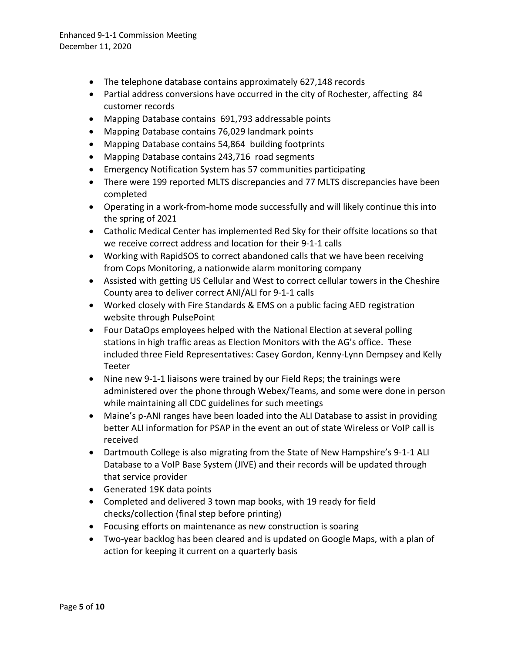- The telephone database contains approximately 627,148 records
- Partial address conversions have occurred in the city of Rochester, affecting 84 customer records
- Mapping Database contains 691,793 addressable points
- Mapping Database contains 76,029 landmark points
- Mapping Database contains 54,864 building footprints
- Mapping Database contains 243,716 road segments
- Emergency Notification System has 57 communities participating
- There were 199 reported MLTS discrepancies and 77 MLTS discrepancies have been completed
- Operating in a work-from-home mode successfully and will likely continue this into the spring of 2021
- Catholic Medical Center has implemented Red Sky for their offsite locations so that we receive correct address and location for their 9-1-1 calls
- Working with RapidSOS to correct abandoned calls that we have been receiving from Cops Monitoring, a nationwide alarm monitoring company
- Assisted with getting US Cellular and West to correct cellular towers in the Cheshire County area to deliver correct ANI/ALI for 9-1-1 calls
- Worked closely with Fire Standards & EMS on a public facing AED registration website through PulsePoint
- Four DataOps employees helped with the National Election at several polling stations in high traffic areas as Election Monitors with the AG's office. These included three Field Representatives: Casey Gordon, Kenny-Lynn Dempsey and Kelly Teeter
- Nine new 9-1-1 liaisons were trained by our Field Reps; the trainings were administered over the phone through Webex/Teams, and some were done in person while maintaining all CDC guidelines for such meetings
- Maine's p-ANI ranges have been loaded into the ALI Database to assist in providing better ALI information for PSAP in the event an out of state Wireless or VoIP call is received
- Dartmouth College is also migrating from the State of New Hampshire's 9-1-1 ALI Database to a VoIP Base System (JIVE) and their records will be updated through that service provider
- Generated 19K data points
- Completed and delivered 3 town map books, with 19 ready for field checks/collection (final step before printing)
- Focusing efforts on maintenance as new construction is soaring
- Two-year backlog has been cleared and is updated on Google Maps, with a plan of action for keeping it current on a quarterly basis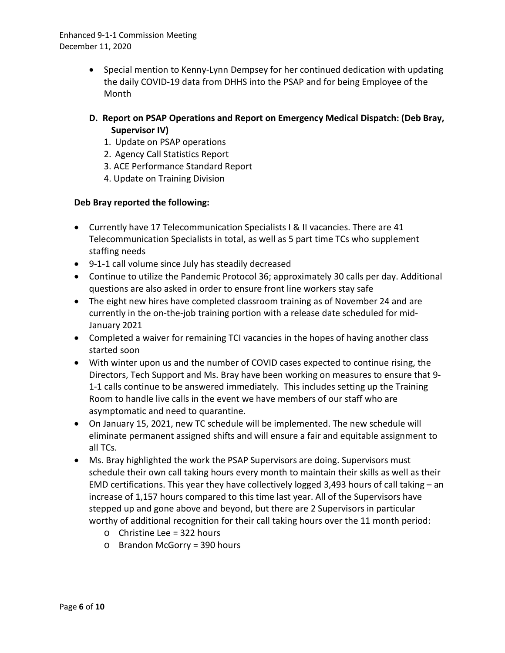- Special mention to Kenny-Lynn Dempsey for her continued dedication with updating the daily COVID-19 data from DHHS into the PSAP and for being Employee of the Month
- **D. Report on PSAP Operations and Report on Emergency Medical Dispatch: (Deb Bray, Supervisor IV)**
	- 1. Update on PSAP operations
	- 2. Agency Call Statistics Report
	- 3. ACE Performance Standard Report
	- 4. Update on Training Division

# **Deb Bray reported the following:**

- Currently have 17 Telecommunication Specialists I & II vacancies. There are 41 Telecommunication Specialists in total, as well as 5 part time TCs who supplement staffing needs
- 9-1-1 call volume since July has steadily decreased
- Continue to utilize the Pandemic Protocol 36; approximately 30 calls per day. Additional questions are also asked in order to ensure front line workers stay safe
- The eight new hires have completed classroom training as of November 24 and are currently in the on-the-job training portion with a release date scheduled for mid-January 2021
- Completed a waiver for remaining TCI vacancies in the hopes of having another class started soon
- With winter upon us and the number of COVID cases expected to continue rising, the Directors, Tech Support and Ms. Bray have been working on measures to ensure that 9- 1-1 calls continue to be answered immediately. This includes setting up the Training Room to handle live calls in the event we have members of our staff who are asymptomatic and need to quarantine.
- On January 15, 2021, new TC schedule will be implemented. The new schedule will eliminate permanent assigned shifts and will ensure a fair and equitable assignment to all TCs.
- Ms. Bray highlighted the work the PSAP Supervisors are doing. Supervisors must schedule their own call taking hours every month to maintain their skills as well as their EMD certifications. This year they have collectively logged 3,493 hours of call taking – an increase of 1,157 hours compared to this time last year. All of the Supervisors have stepped up and gone above and beyond, but there are 2 Supervisors in particular worthy of additional recognition for their call taking hours over the 11 month period:
	- o Christine Lee = 322 hours
	- o Brandon McGorry = 390 hours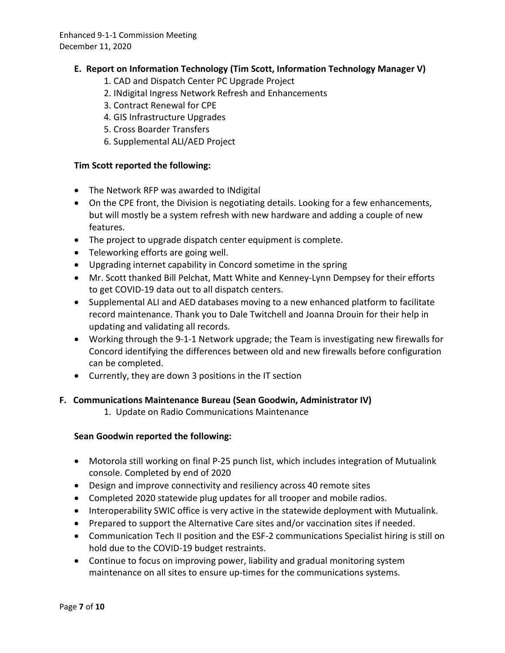# **E. Report on Information Technology (Tim Scott, Information Technology Manager V)**

- 1. CAD and Dispatch Center PC Upgrade Project
- 2. INdigital Ingress Network Refresh and Enhancements
- 3. Contract Renewal for CPE
- 4. GIS Infrastructure Upgrades
- 5. Cross Boarder Transfers
- 6. Supplemental ALI/AED Project

## **Tim Scott reported the following:**

- The Network RFP was awarded to INdigital
- On the CPE front, the Division is negotiating details. Looking for a few enhancements, but will mostly be a system refresh with new hardware and adding a couple of new features.
- The project to upgrade dispatch center equipment is complete.
- Teleworking efforts are going well.
- Upgrading internet capability in Concord sometime in the spring
- Mr. Scott thanked Bill Pelchat, Matt White and Kenney-Lynn Dempsey for their efforts to get COVID-19 data out to all dispatch centers.
- Supplemental ALI and AED databases moving to a new enhanced platform to facilitate record maintenance. Thank you to Dale Twitchell and Joanna Drouin for their help in updating and validating all records.
- Working through the 9-1-1 Network upgrade; the Team is investigating new firewalls for Concord identifying the differences between old and new firewalls before configuration can be completed.
- Currently, they are down 3 positions in the IT section

# **F. Communications Maintenance Bureau (Sean Goodwin, Administrator IV)**

1. Update on Radio Communications Maintenance

# **Sean Goodwin reported the following:**

- Motorola still working on final P-25 punch list, which includes integration of Mutualink console. Completed by end of 2020
- Design and improve connectivity and resiliency across 40 remote sites
- Completed 2020 statewide plug updates for all trooper and mobile radios.
- Interoperability SWIC office is very active in the statewide deployment with Mutualink.
- Prepared to support the Alternative Care sites and/or vaccination sites if needed.
- Communication Tech II position and the ESF-2 communications Specialist hiring is still on hold due to the COVID-19 budget restraints.
- Continue to focus on improving power, liability and gradual monitoring system maintenance on all sites to ensure up-times for the communications systems.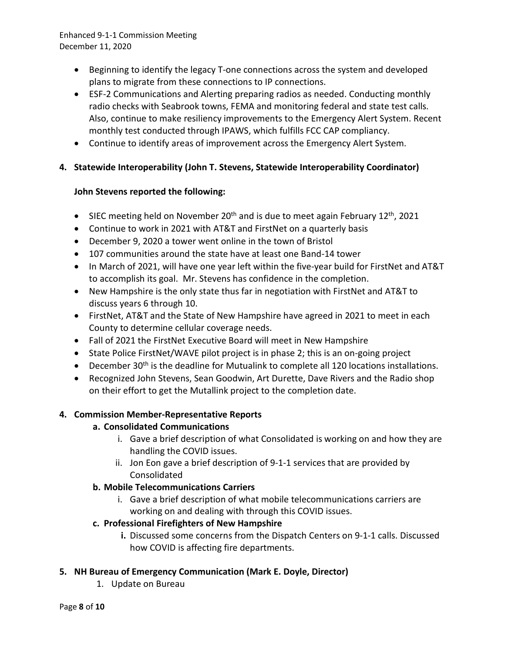- Beginning to identify the legacy T-one connections across the system and developed plans to migrate from these connections to IP connections.
- ESF-2 Communications and Alerting preparing radios as needed. Conducting monthly radio checks with Seabrook towns, FEMA and monitoring federal and state test calls. Also, continue to make resiliency improvements to the Emergency Alert System. Recent monthly test conducted through IPAWS, which fulfills FCC CAP compliancy.
- Continue to identify areas of improvement across the Emergency Alert System.

# **4. Statewide Interoperability (John T. Stevens, Statewide Interoperability Coordinator)**

# **John Stevens reported the following:**

- SIEC meeting held on November 20<sup>th</sup> and is due to meet again February 12<sup>th</sup>, 2021
- Continue to work in 2021 with AT&T and FirstNet on a quarterly basis
- December 9, 2020 a tower went online in the town of Bristol
- 107 communities around the state have at least one Band-14 tower
- In March of 2021, will have one year left within the five-year build for FirstNet and AT&T to accomplish its goal. Mr. Stevens has confidence in the completion.
- New Hampshire is the only state thus far in negotiation with FirstNet and AT&T to discuss years 6 through 10.
- FirstNet, AT&T and the State of New Hampshire have agreed in 2021 to meet in each County to determine cellular coverage needs.
- Fall of 2021 the FirstNet Executive Board will meet in New Hampshire
- State Police FirstNet/WAVE pilot project is in phase 2; this is an on-going project
- December 30<sup>th</sup> is the deadline for Mutualink to complete all 120 locations installations.
- Recognized John Stevens, Sean Goodwin, Art Durette, Dave Rivers and the Radio shop on their effort to get the Mutallink project to the completion date.

# **4. Commission Member-Representative Reports**

# **a. Consolidated Communications**

- i. Gave a brief description of what Consolidated is working on and how they are handling the COVID issues.
- ii. Jon Eon gave a brief description of 9-1-1 services that are provided by Consolidated

# **b. Mobile Telecommunications Carriers**

i. Gave a brief description of what mobile telecommunications carriers are working on and dealing with through this COVID issues.

# **c. Professional Firefighters of New Hampshire**

**i.** Discussed some concerns from the Dispatch Centers on 9-1-1 calls. Discussed how COVID is affecting fire departments.

# **5. NH Bureau of Emergency Communication (Mark E. Doyle, Director)**

1. Update on Bureau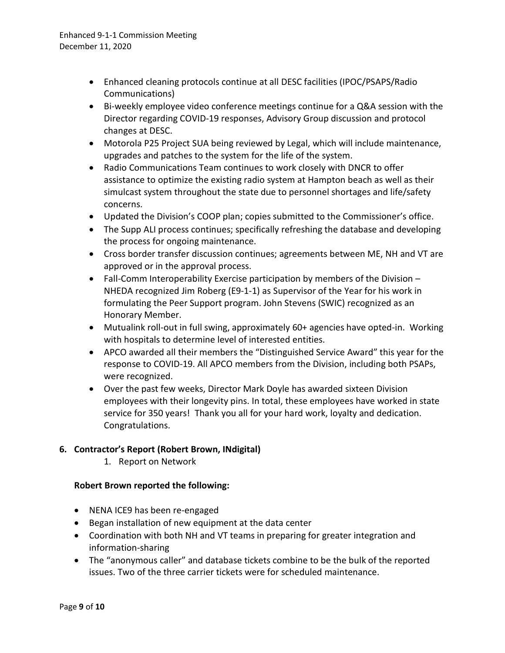- Enhanced cleaning protocols continue at all DESC facilities (IPOC/PSAPS/Radio Communications)
- Bi-weekly employee video conference meetings continue for a Q&A session with the Director regarding COVID-19 responses, Advisory Group discussion and protocol changes at DESC.
- Motorola P25 Project SUA being reviewed by Legal, which will include maintenance, upgrades and patches to the system for the life of the system.
- Radio Communications Team continues to work closely with DNCR to offer assistance to optimize the existing radio system at Hampton beach as well as their simulcast system throughout the state due to personnel shortages and life/safety concerns.
- Updated the Division's COOP plan; copies submitted to the Commissioner's office.
- The Supp ALI process continues; specifically refreshing the database and developing the process for ongoing maintenance.
- Cross border transfer discussion continues; agreements between ME, NH and VT are approved or in the approval process.
- Fall-Comm Interoperability Exercise participation by members of the Division NHEDA recognized Jim Roberg (E9-1-1) as Supervisor of the Year for his work in formulating the Peer Support program. John Stevens (SWIC) recognized as an Honorary Member.
- Mutualink roll-out in full swing, approximately 60+ agencies have opted-in. Working with hospitals to determine level of interested entities.
- APCO awarded all their members the "Distinguished Service Award" this year for the response to COVID-19. All APCO members from the Division, including both PSAPs, were recognized.
- Over the past few weeks, Director Mark Doyle has awarded sixteen Division employees with their longevity pins. In total, these employees have worked in state service for 350 years! Thank you all for your hard work, loyalty and dedication. Congratulations.

# **6. Contractor's Report (Robert Brown, INdigital)**

1. Report on Network

## **Robert Brown reported the following:**

- NENA ICE9 has been re-engaged
- Began installation of new equipment at the data center
- Coordination with both NH and VT teams in preparing for greater integration and information-sharing
- The "anonymous caller" and database tickets combine to be the bulk of the reported issues. Two of the three carrier tickets were for scheduled maintenance.